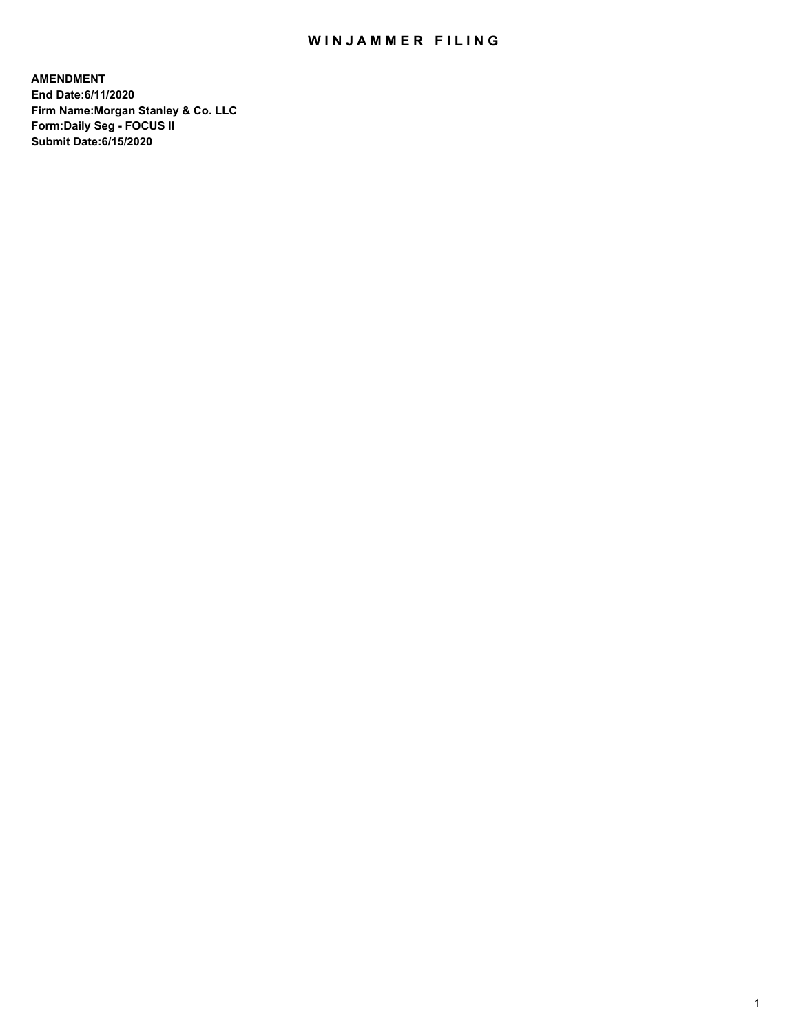## WIN JAMMER FILING

**AMENDMENT End Date:6/11/2020 Firm Name:Morgan Stanley & Co. LLC Form:Daily Seg - FOCUS II Submit Date:6/15/2020**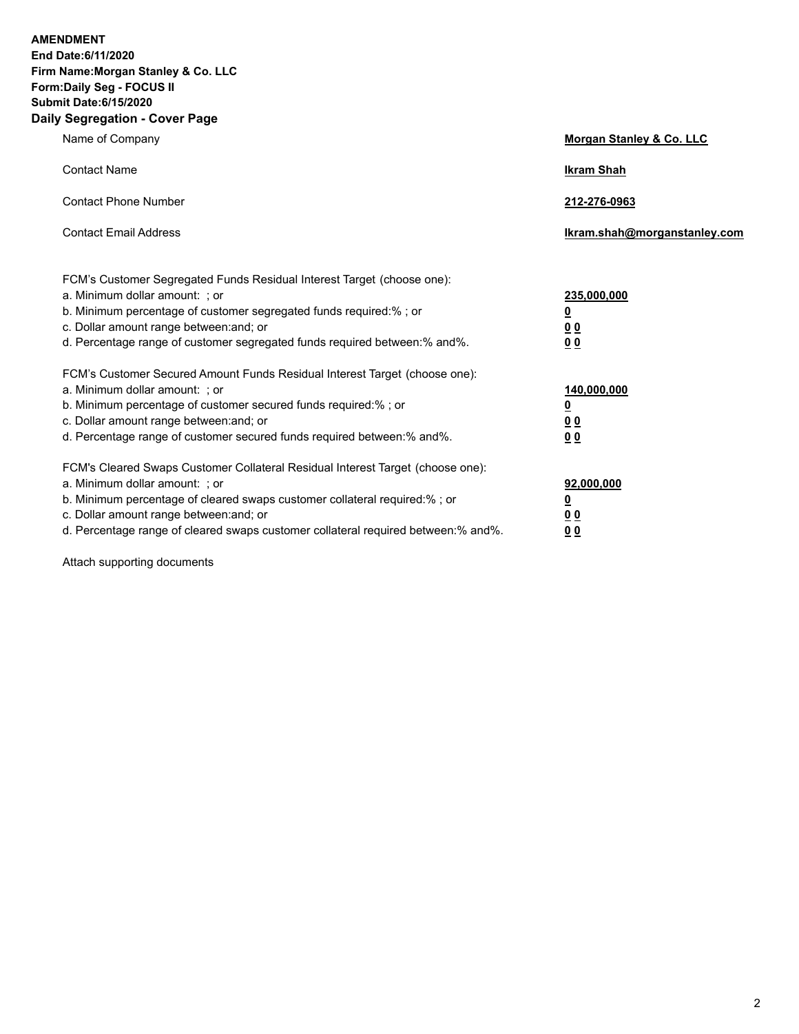**AMENDMENT End Date:6/11/2020 Firm Name:Morgan Stanley & Co. LLC Form:Daily Seg - FOCUS II Submit Date:6/15/2020 Daily Segregation - Cover Page**

| Name of Company                                                                                                                                                                                                                                                                                                               | Morgan Stanley & Co. LLC                              |
|-------------------------------------------------------------------------------------------------------------------------------------------------------------------------------------------------------------------------------------------------------------------------------------------------------------------------------|-------------------------------------------------------|
| <b>Contact Name</b>                                                                                                                                                                                                                                                                                                           | <b>Ikram Shah</b>                                     |
| <b>Contact Phone Number</b>                                                                                                                                                                                                                                                                                                   | 212-276-0963                                          |
| <b>Contact Email Address</b>                                                                                                                                                                                                                                                                                                  | Ikram.shah@morganstanley.com                          |
| FCM's Customer Segregated Funds Residual Interest Target (choose one):<br>a. Minimum dollar amount: ; or<br>b. Minimum percentage of customer segregated funds required:% ; or<br>c. Dollar amount range between: and; or<br>d. Percentage range of customer segregated funds required between:% and%.                        | 235,000,000<br><u>0</u><br><u>00</u><br>0 Q           |
| FCM's Customer Secured Amount Funds Residual Interest Target (choose one):<br>a. Minimum dollar amount: ; or<br>b. Minimum percentage of customer secured funds required:%; or<br>c. Dollar amount range between: and; or<br>d. Percentage range of customer secured funds required between:% and%.                           | 140,000,000<br><u>0</u><br><u>00</u><br>0 Q           |
| FCM's Cleared Swaps Customer Collateral Residual Interest Target (choose one):<br>a. Minimum dollar amount: ; or<br>b. Minimum percentage of cleared swaps customer collateral required:%; or<br>c. Dollar amount range between: and; or<br>d. Percentage range of cleared swaps customer collateral required between:% and%. | 92,000,000<br><u>0</u><br><u>00</u><br>0 <sup>0</sup> |

Attach supporting documents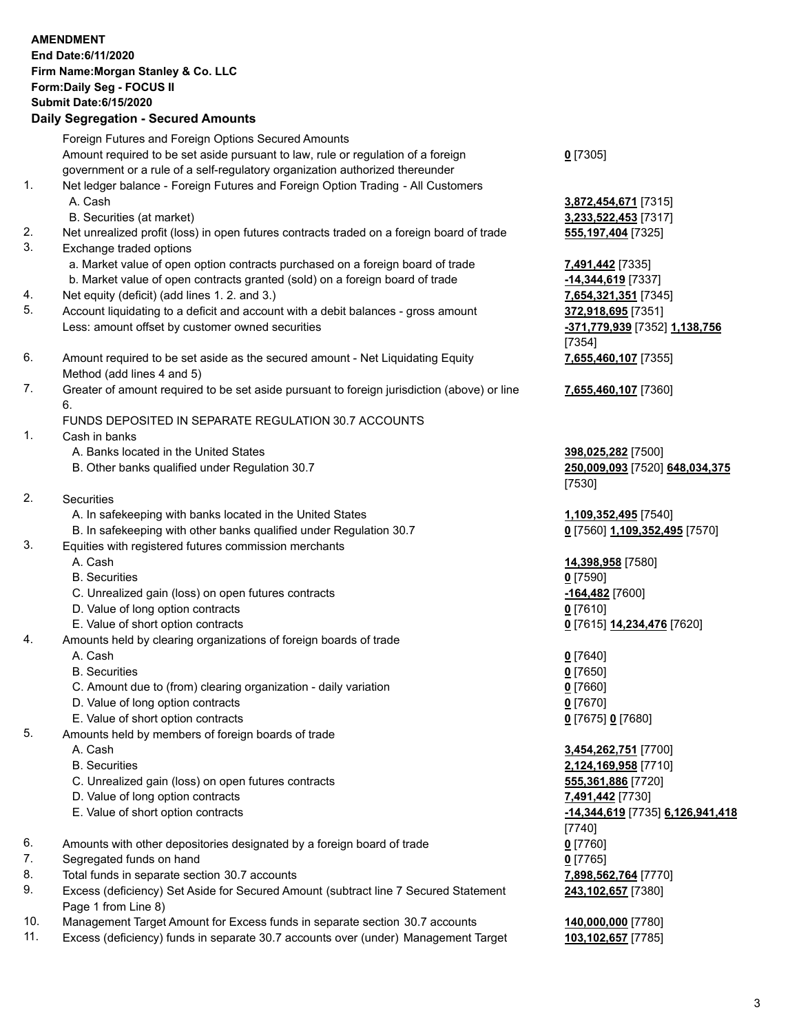|          | <b>AMENDMENT</b><br>End Date:6/11/2020<br>Firm Name: Morgan Stanley & Co. LLC<br>Form: Daily Seg - FOCUS II<br><b>Submit Date:6/15/2020</b><br><b>Daily Segregation - Secured Amounts</b> |                                                                |
|----------|-------------------------------------------------------------------------------------------------------------------------------------------------------------------------------------------|----------------------------------------------------------------|
|          | Foreign Futures and Foreign Options Secured Amounts<br>Amount required to be set aside pursuant to law, rule or regulation of a foreign                                                   |                                                                |
|          | government or a rule of a self-regulatory organization authorized thereunder                                                                                                              | $0$ [7305]                                                     |
| 1.       | Net ledger balance - Foreign Futures and Foreign Option Trading - All Customers<br>A. Cash                                                                                                | 3,872,454,671 [7315]                                           |
|          | B. Securities (at market)                                                                                                                                                                 | 3,233,522,453 [7317]                                           |
| 2.<br>3. | Net unrealized profit (loss) in open futures contracts traded on a foreign board of trade<br>Exchange traded options                                                                      | 555, 197, 404 [7325]                                           |
|          | a. Market value of open option contracts purchased on a foreign board of trade<br>b. Market value of open contracts granted (sold) on a foreign board of trade                            | 7,491,442 [7335]                                               |
| 4.       | Net equity (deficit) (add lines 1.2. and 3.)                                                                                                                                              | -14,344,619 [7337]<br>7,654,321,351 [7345]                     |
| 5.       | Account liquidating to a deficit and account with a debit balances - gross amount                                                                                                         | 372,918,695 [7351]                                             |
|          | Less: amount offset by customer owned securities                                                                                                                                          | <u>-371,779,939</u> [7352] <u>1,138,756</u><br>[7354]          |
| 6.       | Amount required to be set aside as the secured amount - Net Liquidating Equity<br>Method (add lines 4 and 5)                                                                              | 7,655,460,107 [7355]                                           |
| 7.       | Greater of amount required to be set aside pursuant to foreign jurisdiction (above) or line<br>6.                                                                                         | 7,655,460,107 [7360]                                           |
|          | FUNDS DEPOSITED IN SEPARATE REGULATION 30.7 ACCOUNTS                                                                                                                                      |                                                                |
| 1.       | Cash in banks                                                                                                                                                                             |                                                                |
|          | A. Banks located in the United States<br>B. Other banks qualified under Regulation 30.7                                                                                                   | 398,025,282 [7500]<br>250,009,093 [7520] 648,034,375<br>[7530] |
| 2.       | Securities                                                                                                                                                                                |                                                                |
|          | A. In safekeeping with banks located in the United States                                                                                                                                 | 1,109,352,495 [7540]                                           |
| 3.       | B. In safekeeping with other banks qualified under Regulation 30.7<br>Equities with registered futures commission merchants                                                               | 0 [7560] 1,109,352,495 [7570]                                  |
|          | A. Cash                                                                                                                                                                                   | 14,398,958 [7580]                                              |
|          | <b>B.</b> Securities                                                                                                                                                                      | $0$ [7590]                                                     |
|          | C. Unrealized gain (loss) on open futures contracts                                                                                                                                       | -164,482 [7600]                                                |
|          | D. Value of long option contracts<br>E. Value of short option contracts                                                                                                                   | $0$ [7610]<br>0 [7615] 14,234,476 [7620]                       |
| 4.       | Amounts held by clearing organizations of foreign boards of trade                                                                                                                         |                                                                |
|          | A. Cash                                                                                                                                                                                   | $0$ [7640]                                                     |
|          | <b>B.</b> Securities                                                                                                                                                                      | $0$ [7650]                                                     |
|          | C. Amount due to (from) clearing organization - daily variation                                                                                                                           | $0$ [7660]                                                     |
|          | D. Value of long option contracts                                                                                                                                                         | $0$ [7670]                                                     |
| 5.       | E. Value of short option contracts<br>Amounts held by members of foreign boards of trade                                                                                                  | 0 [7675] 0 [7680]                                              |
|          | A. Cash                                                                                                                                                                                   | 3,454,262,751 [7700]                                           |
|          | <b>B.</b> Securities                                                                                                                                                                      | 2,124,169,958 [7710]                                           |
|          | C. Unrealized gain (loss) on open futures contracts                                                                                                                                       | 555,361,886 [7720]                                             |
|          | D. Value of long option contracts                                                                                                                                                         | 7,491,442 [7730]                                               |
|          | E. Value of short option contracts                                                                                                                                                        | <u>-14,344,619</u> [7735] 6,126,941,418<br>[7740]              |
| 6.       | Amounts with other depositories designated by a foreign board of trade                                                                                                                    | $0$ [7760]                                                     |
| 7.       | Segregated funds on hand                                                                                                                                                                  | $0$ [7765]                                                     |
| 8.<br>9. | Total funds in separate section 30.7 accounts<br>Excess (deficiency) Set Aside for Secured Amount (subtract line 7 Secured Statement<br>Page 1 from Line 8)                               | 7,898,562,764 [7770]<br>243,102,657 [7380]                     |
| 10.      | Management Target Amount for Excess funds in separate section 30.7 accounts                                                                                                               | 140,000,000 [7780]                                             |
| 11.      | Excess (deficiency) funds in separate 30.7 accounts over (under) Management Target                                                                                                        | 103,102,657 [7785]                                             |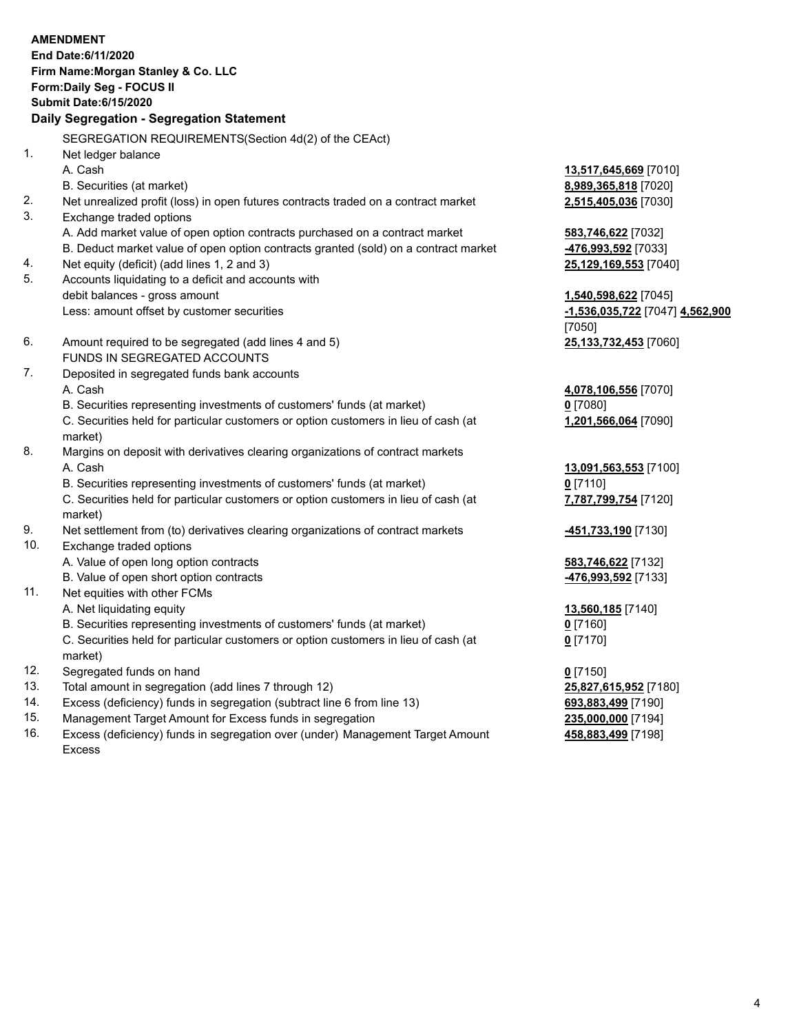|            | <b>AMENDMENT</b><br>End Date:6/11/2020<br>Firm Name: Morgan Stanley & Co. LLC<br>Form: Daily Seg - FOCUS II<br><b>Submit Date:6/15/2020</b><br>Daily Segregation - Segregation Statement |                                             |
|------------|------------------------------------------------------------------------------------------------------------------------------------------------------------------------------------------|---------------------------------------------|
|            |                                                                                                                                                                                          |                                             |
| 1.         | SEGREGATION REQUIREMENTS(Section 4d(2) of the CEAct)                                                                                                                                     |                                             |
|            | Net ledger balance<br>A. Cash                                                                                                                                                            | 13,517,645,669 [7010]                       |
|            | B. Securities (at market)                                                                                                                                                                | 8,989,365,818 [7020]                        |
| 2.         | Net unrealized profit (loss) in open futures contracts traded on a contract market                                                                                                       | 2,515,405,036 [7030]                        |
| 3.         | Exchange traded options                                                                                                                                                                  |                                             |
|            | A. Add market value of open option contracts purchased on a contract market                                                                                                              | 583,746,622 [7032]                          |
|            | B. Deduct market value of open option contracts granted (sold) on a contract market                                                                                                      | 476,993,592 [7033]                          |
| 4.         | Net equity (deficit) (add lines 1, 2 and 3)                                                                                                                                              | 25,129,169,553 [7040]                       |
| 5.         | Accounts liquidating to a deficit and accounts with                                                                                                                                      |                                             |
|            | debit balances - gross amount                                                                                                                                                            | 1,540,598,622 [7045]                        |
|            | Less: amount offset by customer securities                                                                                                                                               | -1,536,035,722 [7047] 4,562,900             |
|            |                                                                                                                                                                                          | [7050]                                      |
| 6.         | Amount required to be segregated (add lines 4 and 5)                                                                                                                                     | 25,133,732,453 [7060]                       |
|            | FUNDS IN SEGREGATED ACCOUNTS                                                                                                                                                             |                                             |
| 7.         | Deposited in segregated funds bank accounts                                                                                                                                              |                                             |
|            | A. Cash                                                                                                                                                                                  | 4,078,106,556 [7070]                        |
|            | B. Securities representing investments of customers' funds (at market)                                                                                                                   | $0$ [7080]                                  |
|            | C. Securities held for particular customers or option customers in lieu of cash (at<br>market)                                                                                           | 1,201,566,064 [7090]                        |
| 8.         | Margins on deposit with derivatives clearing organizations of contract markets                                                                                                           |                                             |
|            | A. Cash                                                                                                                                                                                  | 13,091,563,553 [7100]                       |
|            | B. Securities representing investments of customers' funds (at market)                                                                                                                   | $0$ [7110]                                  |
|            | C. Securities held for particular customers or option customers in lieu of cash (at                                                                                                      | 7,787,799,754 [7120]                        |
|            | market)                                                                                                                                                                                  |                                             |
| 9.         | Net settlement from (to) derivatives clearing organizations of contract markets                                                                                                          | -451,733,190 [7130]                         |
| 10.        | Exchange traded options                                                                                                                                                                  |                                             |
|            | A. Value of open long option contracts                                                                                                                                                   | 583,746,622 [7132]                          |
|            | B. Value of open short option contracts                                                                                                                                                  | 476,993,592 [7133]                          |
| 11.        | Net equities with other FCMs                                                                                                                                                             |                                             |
|            | A. Net liquidating equity                                                                                                                                                                | 13,560,185 [7140]                           |
|            | B. Securities representing investments of customers' funds (at market)                                                                                                                   | $0$ [7160]                                  |
|            | C. Securities held for particular customers or option customers in lieu of cash (at                                                                                                      | $0$ [7170]                                  |
|            | market)                                                                                                                                                                                  |                                             |
| 12.<br>13. | Segregated funds on hand<br>Total amount in segregation (add lines 7 through 12)                                                                                                         | $0$ [7150]                                  |
| 14.        | Excess (deficiency) funds in segregation (subtract line 6 from line 13)                                                                                                                  | 25,827,615,952 [7180]<br>693,883,499 [7190] |
|            |                                                                                                                                                                                          |                                             |

- 
- 15. Management Target Amount for Excess funds in segregation<br>16. Excess (deficiency) funds in segregation over (under) Management Target Amount **235,000,000** [7198] Excess (deficiency) funds in segregation over (under) Management Target Amount Excess

**458,883,499** [7198]